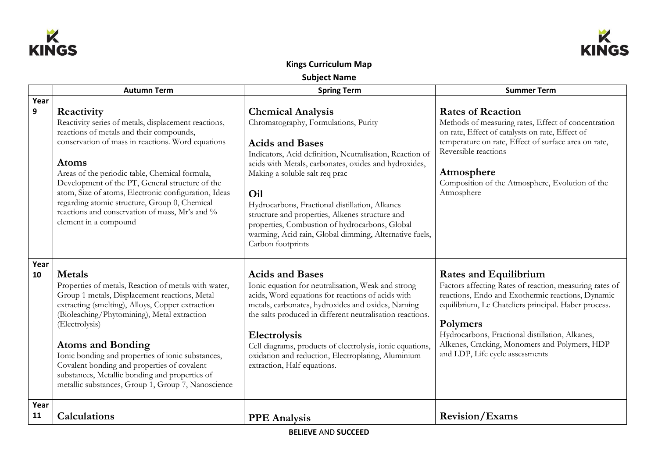



## **Kings Curriculum Map**

**Subject Name**

|              | <b>Autumn Term</b>                                                                                                                                                                                                                                                                                                                                                                                                                                                                  | <b>Spring Term</b>                                                                                                                                                                                                                                                                                                                                                                                                                                                                             | <b>Summer Term</b>                                                                                                                                                                                                                                                                                                                                      |
|--------------|-------------------------------------------------------------------------------------------------------------------------------------------------------------------------------------------------------------------------------------------------------------------------------------------------------------------------------------------------------------------------------------------------------------------------------------------------------------------------------------|------------------------------------------------------------------------------------------------------------------------------------------------------------------------------------------------------------------------------------------------------------------------------------------------------------------------------------------------------------------------------------------------------------------------------------------------------------------------------------------------|---------------------------------------------------------------------------------------------------------------------------------------------------------------------------------------------------------------------------------------------------------------------------------------------------------------------------------------------------------|
| Year         |                                                                                                                                                                                                                                                                                                                                                                                                                                                                                     |                                                                                                                                                                                                                                                                                                                                                                                                                                                                                                |                                                                                                                                                                                                                                                                                                                                                         |
| $\mathbf{9}$ | Reactivity<br>Reactivity series of metals, displacement reactions,<br>reactions of metals and their compounds,<br>conservation of mass in reactions. Word equations<br><b>Atoms</b><br>Areas of the periodic table, Chemical formula,<br>Development of the PT, General structure of the<br>atom, Size of atoms, Electronic configuration, Ideas<br>regarding atomic structure, Group 0, Chemical<br>reactions and conservation of mass, Mr's and %<br>element in a compound        | <b>Chemical Analysis</b><br>Chromatography, Formulations, Purity<br><b>Acids and Bases</b><br>Indicators, Acid definition, Neutralisation, Reaction of<br>acids with Metals, carbonates, oxides and hydroxides,<br>Making a soluble salt req prac<br>Oil<br>Hydrocarbons, Fractional distillation, Alkanes<br>structure and properties, Alkenes structure and<br>properties, Combustion of hydrocarbons, Global<br>warming, Acid rain, Global dimming, Alternative fuels,<br>Carbon footprints | <b>Rates of Reaction</b><br>Methods of measuring rates, Effect of concentration<br>on rate, Effect of catalysts on rate, Effect of<br>temperature on rate, Effect of surface area on rate,<br>Reversible reactions<br>Atmosphere<br>Composition of the Atmosphere, Evolution of the<br>Atmosphere                                                       |
| Year<br>10   | <b>Metals</b><br>Properties of metals, Reaction of metals with water,<br>Group 1 metals, Displacement reactions, Metal<br>extracting (smelting), Alloys, Copper extraction<br>(Bioleaching/Phytomining), Metal extraction<br>(Electrolysis)<br><b>Atoms and Bonding</b><br>Ionic bonding and properties of ionic substances,<br>Covalent bonding and properties of covalent<br>substances, Metallic bonding and properties of<br>metallic substances, Group 1, Group 7, Nanoscience | <b>Acids and Bases</b><br>Ionic equation for neutralisation, Weak and strong<br>acids, Word equations for reactions of acids with<br>metals, carbonates, hydroxides and oxides, Naming<br>the salts produced in different neutralisation reactions.<br>Electrolysis<br>Cell diagrams, products of electrolysis, ionic equations,<br>oxidation and reduction, Electroplating, Aluminium<br>extraction, Half equations.                                                                          | <b>Rates and Equilibrium</b><br>Factors affecting Rates of reaction, measuring rates of<br>reactions, Endo and Exothermic reactions, Dynamic<br>equilibrium, Le Chateliers principal. Haber process.<br>Polymers<br>Hydrocarbons, Fractional distillation, Alkanes,<br>Alkenes, Cracking, Monomers and Polymers, HDP<br>and LDP, Life cycle assessments |
| Year<br>11   | <b>Calculations</b>                                                                                                                                                                                                                                                                                                                                                                                                                                                                 | <b>PPE</b> Analysis                                                                                                                                                                                                                                                                                                                                                                                                                                                                            | <b>Revision/Exams</b>                                                                                                                                                                                                                                                                                                                                   |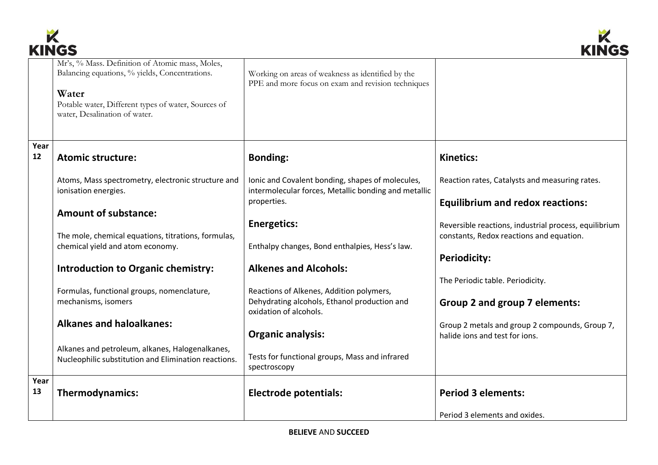



|      | www                                                                                                                                                                                                |                                                                                                          | mitu                                                  |
|------|----------------------------------------------------------------------------------------------------------------------------------------------------------------------------------------------------|----------------------------------------------------------------------------------------------------------|-------------------------------------------------------|
|      | Mr's, % Mass. Definition of Atomic mass, Moles,<br>Balancing equations, % yields, Concentrations.<br>Water<br>Potable water, Different types of water, Sources of<br>water, Desalination of water. | Working on areas of weakness as identified by the<br>PPE and more focus on exam and revision techniques  |                                                       |
| Year |                                                                                                                                                                                                    |                                                                                                          |                                                       |
| 12   | <b>Atomic structure:</b>                                                                                                                                                                           | <b>Bonding:</b>                                                                                          | <b>Kinetics:</b>                                      |
|      | Atoms, Mass spectrometry, electronic structure and<br>ionisation energies.                                                                                                                         | Ionic and Covalent bonding, shapes of molecules,<br>intermolecular forces, Metallic bonding and metallic | Reaction rates, Catalysts and measuring rates.        |
|      |                                                                                                                                                                                                    | properties.                                                                                              |                                                       |
|      |                                                                                                                                                                                                    |                                                                                                          | <b>Equilibrium and redox reactions:</b>               |
|      | <b>Amount of substance:</b>                                                                                                                                                                        |                                                                                                          |                                                       |
|      |                                                                                                                                                                                                    | <b>Energetics:</b>                                                                                       | Reversible reactions, industrial process, equilibrium |
|      | The mole, chemical equations, titrations, formulas,                                                                                                                                                |                                                                                                          | constants, Redox reactions and equation.              |
|      | chemical yield and atom economy.                                                                                                                                                                   | Enthalpy changes, Bond enthalpies, Hess's law.                                                           |                                                       |
|      |                                                                                                                                                                                                    |                                                                                                          | <b>Periodicity:</b>                                   |
|      | <b>Introduction to Organic chemistry:</b>                                                                                                                                                          | <b>Alkenes and Alcohols:</b>                                                                             |                                                       |
|      |                                                                                                                                                                                                    |                                                                                                          |                                                       |
|      |                                                                                                                                                                                                    |                                                                                                          | The Periodic table. Periodicity.                      |
|      | Formulas, functional groups, nomenclature,                                                                                                                                                         | Reactions of Alkenes, Addition polymers,                                                                 |                                                       |
|      | mechanisms, isomers                                                                                                                                                                                | Dehydrating alcohols, Ethanol production and<br>oxidation of alcohols.                                   | Group 2 and group 7 elements:                         |
|      | <b>Alkanes and haloalkanes:</b>                                                                                                                                                                    |                                                                                                          | Group 2 metals and group 2 compounds, Group 7,        |
|      |                                                                                                                                                                                                    | <b>Organic analysis:</b>                                                                                 | halide jons and test for jons.                        |
|      |                                                                                                                                                                                                    |                                                                                                          |                                                       |
|      | Alkanes and petroleum, alkanes, Halogenalkanes,                                                                                                                                                    | Tests for functional groups, Mass and infrared                                                           |                                                       |
|      | Nucleophilic substitution and Elimination reactions.                                                                                                                                               | spectroscopy                                                                                             |                                                       |
|      |                                                                                                                                                                                                    |                                                                                                          |                                                       |
| Year |                                                                                                                                                                                                    |                                                                                                          |                                                       |
| 13   | Thermodynamics:                                                                                                                                                                                    | <b>Electrode potentials:</b>                                                                             | <b>Period 3 elements:</b>                             |
|      |                                                                                                                                                                                                    |                                                                                                          |                                                       |
|      |                                                                                                                                                                                                    |                                                                                                          | Period 3 elements and oxides.                         |